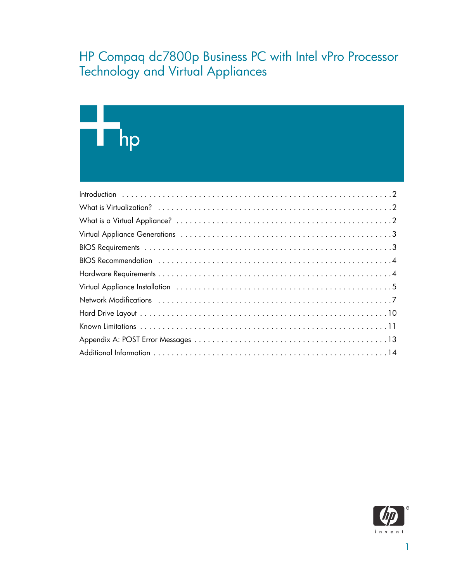## HP Compaq dc7800p Business PC with Intel vPro Processor Technology and Virtual Appliances

# $h$ p

| Virtual Appliance Installation (and according to the state of the state of the state of the state of the state of the state of the state of the state of the state of the state of the state of the state of the state of the |
|-------------------------------------------------------------------------------------------------------------------------------------------------------------------------------------------------------------------------------|
|                                                                                                                                                                                                                               |
|                                                                                                                                                                                                                               |
|                                                                                                                                                                                                                               |
|                                                                                                                                                                                                                               |
|                                                                                                                                                                                                                               |

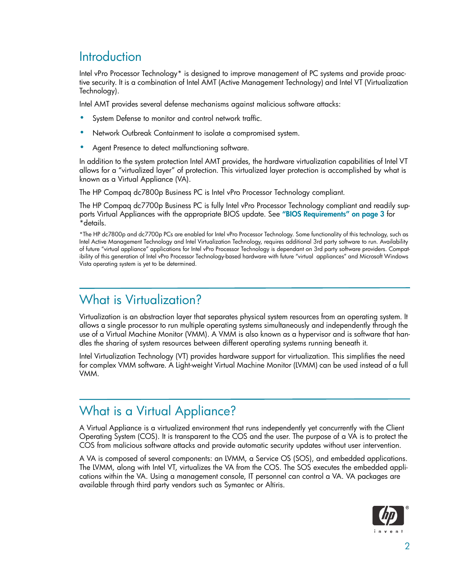### **Introduction**

Intel vPro Processor Technology\* is designed to improve management of PC systems and provide proactive security. It is a combination of Intel AMT (Active Management Technology) and Intel VT (Virtualization Technology).

Intel AMT provides several defense mechanisms against malicious software attacks:

- System Defense to monitor and control network traffic.
- Network Outbreak Containment to isolate a compromised system.
- Agent Presence to detect malfunctioning software.

In addition to the system protection Intel AMT provides, the hardware virtualization capabilities of Intel VT allows for a "virtualized layer" of protection. This virtualized layer protection is accomplished by what is known as a Virtual Appliance (VA).

The HP Compaq dc7800p Business PC is Intel vPro Processor Technology compliant.

The HP Compaq dc7700p Business PC is fully Intel vPro Processor Technology compliant and readily supports Virtual Appliances with the appropriate BIOS update. See "BIOS Requirements" on page 3 for \*details.

\*The HP dc7800p and dc7700p PCs are enabled for Intel vPro Processor Technology. Some functionality of this technology, such as Intel Active Management Technology and Intel Virtualization Technology, requires additional 3rd party software to run. Availability of future "virtual appliance" applications for Intel vPro Processor Technology is dependant on 3rd party software providers. Compatibility of this generation of Intel vPro Processor Technology-based hardware with future "virtual appliances" and Microsoft Windows Vista operating system is yet to be determined.

#### What is Virtualization?

Virtualization is an abstraction layer that separates physical system resources from an operating system. It allows a single processor to run multiple operating systems simultaneously and independently through the use of a Virtual Machine Monitor (VMM). A VMM is also known as a hypervisor and is software that handles the sharing of system resources between different operating systems running beneath it.

Intel Virtualization Technology (VT) provides hardware support for virtualization. This simplifies the need for complex VMM software. A Light-weight Virtual Machine Monitor (LVMM) can be used instead of a full VMM.

## What is a Virtual Appliance?

A Virtual Appliance is a virtualized environment that runs independently yet concurrently with the Client Operating System (COS). It is transparent to the COS and the user. The purpose of a VA is to protect the COS from malicious software attacks and provide automatic security updates without user intervention.

A VA is composed of several components: an LVMM, a Service OS (SOS), and embedded applications. The LVMM, along with Intel VT, virtualizes the VA from the COS. The SOS executes the embedded applications within the VA. Using a management console, IT personnel can control a VA. VA packages are available through third party vendors such as Symantec or Altiris.

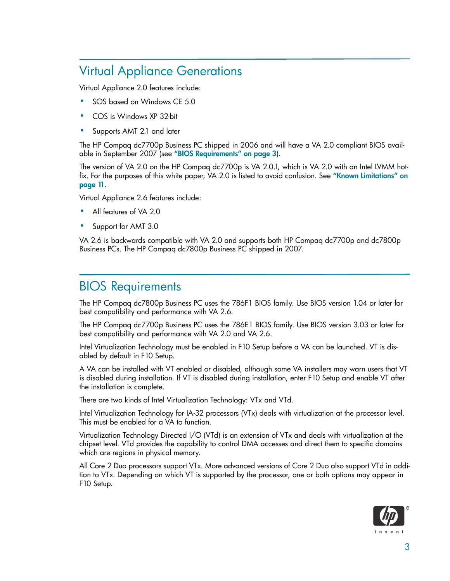## Virtual Appliance Generations

Virtual Appliance 2.0 features include:

- SOS based on Windows CE 5.0
- COS is Windows XP 32-bit
- Supports AMT 2.1 and later

The HP Compaq dc7700p Business PC shipped in 2006 and will have a VA 2.0 compliant BIOS available in September 2007 (see "BIOS Requirements" on page 3).

The version of VA 2.0 on the HP Compaq dc7700p is VA 2.0.1, which is VA 2.0 with an Intel LVMM hotfix. For the purposes of this white paper, VA 2.0 is listed to avoid confusion. See "Known Limitations" on page 11.

Virtual Appliance 2.6 features include:

- All features of VA 2.0
- Support for AMT 3.0

VA 2.6 is backwards compatible with VA 2.0 and supports both HP Compaq dc7700p and dc7800p Business PCs. The HP Compaq dc7800p Business PC shipped in 2007.

#### BIOS Requirements

The HP Compaq dc7800p Business PC uses the 786F1 BIOS family. Use BIOS version 1.04 or later for best compatibility and performance with VA 2.6.

The HP Compaq dc7700p Business PC uses the 786E1 BIOS family. Use BIOS version 3.03 or later for best compatibility and performance with VA 2.0 and VA 2.6.

Intel Virtualization Technology must be enabled in F10 Setup before a VA can be launched. VT is disabled by default in F10 Setup.

A VA can be installed with VT enabled or disabled, although some VA installers may warn users that VT is disabled during installation. If VT is disabled during installation, enter F10 Setup and enable VT after the installation is complete.

There are two kinds of Intel Virtualization Technology: VTx and VTd.

Intel Virtualization Technology for IA-32 processors (VTx) deals with virtualization at the processor level. This must be enabled for a VA to function.

Virtualization Technology Directed I/O (VTd) is an extension of VTx and deals with virtualization at the chipset level. VTd provides the capability to control DMA accesses and direct them to specific domains which are regions in physical memory.

All Core 2 Duo processors support VTx. More advanced versions of Core 2 Duo also support VTd in addition to VTx. Depending on which VT is supported by the processor, one or both options may appear in F10 Setup.

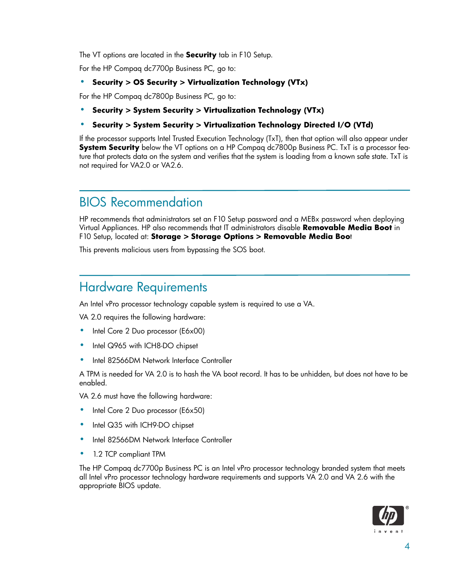The VT options are located in the **Security** tab in F10 Setup.

For the HP Compaq dc7700p Business PC, go to:

#### **• Security > OS Security > Virtualization Technology (VTx)**

For the HP Compaq dc7800p Business PC, go to:

**• Security > System Security > Virtualization Technology (VTx)**

#### **• Security > System Security > Virtualization Technology Directed I/O (VTd)**

If the processor supports Intel Trusted Execution Technology (TxT), then that option will also appear under **System Security** below the VT options on a HP Compaq dc7800p Business PC. TxT is a processor feature that protects data on the system and verifies that the system is loading from a known safe state. TxT is not required for VA2.0 or VA2.6.

### BIOS Recommendation

HP recommends that administrators set an F10 Setup password and a MEBx password when deploying Virtual Appliances. HP also recommends that IT administrators disable **Removable Media Boot** in F10 Setup, located at: **Storage > Storage Options > Removable Media Boo**t

This prevents malicious users from bypassing the SOS boot.

#### Hardware Requirements

An Intel vPro processor technology capable system is required to use a VA.

VA 2.0 requires the following hardware:

- Intel Core 2 Duo processor (E6x00)
- Intel Q965 with ICH8-DO chipset
- Intel 82566DM Network Interface Controller

A TPM is needed for VA 2.0 is to hash the VA boot record. It has to be unhidden, but does not have to be enabled.

VA 2.6 must have the following hardware:

- Intel Core 2 Duo processor (E6x50)
- Intel Q35 with ICH9-DO chipset
- Intel 82566DM Network Interface Controller
- 1.2 TCP compliant TPM

The HP Compaq dc7700p Business PC is an Intel vPro processor technology branded system that meets all Intel vPro processor technology hardware requirements and supports VA 2.0 and VA 2.6 with the appropriate BIOS update.

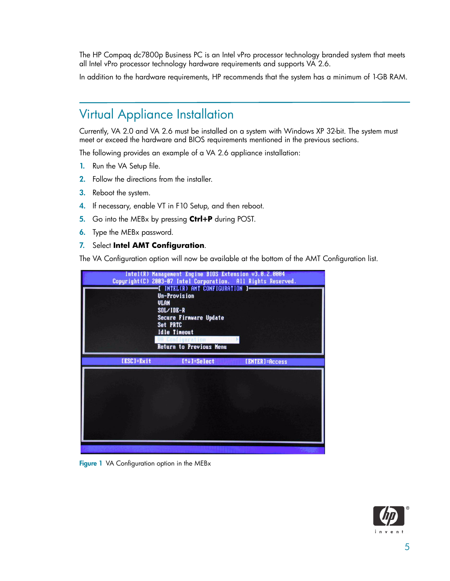The HP Compaq dc7800p Business PC is an Intel vPro processor technology branded system that meets all Intel vPro processor technology hardware requirements and supports VA 2.6.

In addition to the hardware requirements, HP recommends that the system has a minimum of 1-GB RAM.

#### Virtual Appliance Installation

Currently, VA 2.0 and VA 2.6 must be installed on a system with Windows XP 32-bit. The system must meet or exceed the hardware and BIOS requirements mentioned in the previous sections.

The following provides an example of a VA 2.6 appliance installation:

- 1. Run the VA Setup file.
- 2. Follow the directions from the installer.
- 3. Reboot the system.
- 4. If necessary, enable VT in F10 Setup, and then reboot.
- 5. Go into the MEBx by pressing **Ctrl+P** during POST.
- 6. Type the MEBx password.

#### 7. Select **Intel AMT Configuration**.

The VA Configuration option will now be available at the bottom of the AMT Configuration list.



Figure 1 VA Configuration option in the MEBx

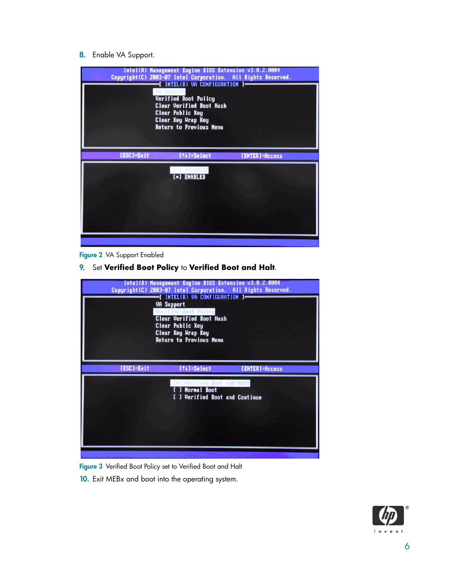#### 8. Enable VA Support.



#### Figure 2 VA Support Enabled

9. Set **Verified Boot Policy** to **Verified Boot and Halt**.



Figure 3 Verified Boot Policy set to Verified Boot and Halt

10. Exit MEBx and boot into the operating system.

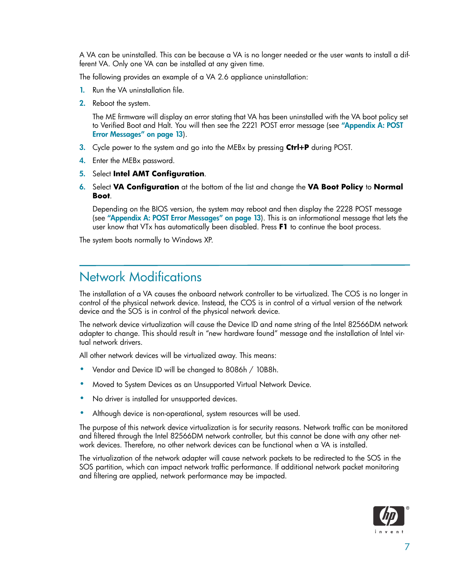A VA can be uninstalled. This can be because a VA is no longer needed or the user wants to install a different VA. Only one VA can be installed at any given time.

The following provides an example of a VA 2.6 appliance uninstallation:

- 1. Run the VA uninstallation file.
- 2. Reboot the system.

The ME firmware will display an error stating that VA has been uninstalled with the VA boot policy set to Verified Boot and Halt. You will then see the 2221 POST error message (see "Appendix A: POST Error Messages" on page 13).

- 3. Cycle power to the system and go into the MEBx by pressing **Ctrl+P** during POST.
- 4. Enter the MEBx password.
- 5. Select **Intel AMT Configuration**.
- 6. Select **VA Configuration** at the bottom of the list and change the **VA Boot Policy** to **Normal Boot**.

Depending on the BIOS version, the system may reboot and then display the 2228 POST message (see "Appendix A: POST Error Messages" on page 13). This is an informational message that lets the user know that VTx has automatically been disabled. Press **F1** to continue the boot process.

The system boots normally to Windows XP.

#### Network Modifications

The installation of a VA causes the onboard network controller to be virtualized. The COS is no longer in control of the physical network device. Instead, the COS is in control of a virtual version of the network device and the SOS is in control of the physical network device.

The network device virtualization will cause the Device ID and name string of the Intel 82566DM network adapter to change. This should result in "new hardware found" message and the installation of Intel virtual network drivers.

All other network devices will be virtualized away. This means:

- Vendor and Device ID will be changed to 8086h / 10B8h.
- Moved to System Devices as an Unsupported Virtual Network Device.
- No driver is installed for unsupported devices.
- Although device is non-operational, system resources will be used.

The purpose of this network device virtualization is for security reasons. Network traffic can be monitored and filtered through the Intel 82566DM network controller, but this cannot be done with any other network devices. Therefore, no other network devices can be functional when a VA is installed.

The virtualization of the network adapter will cause network packets to be redirected to the SOS in the SOS partition, which can impact network traffic performance. If additional network packet monitoring and filtering are applied, network performance may be impacted.

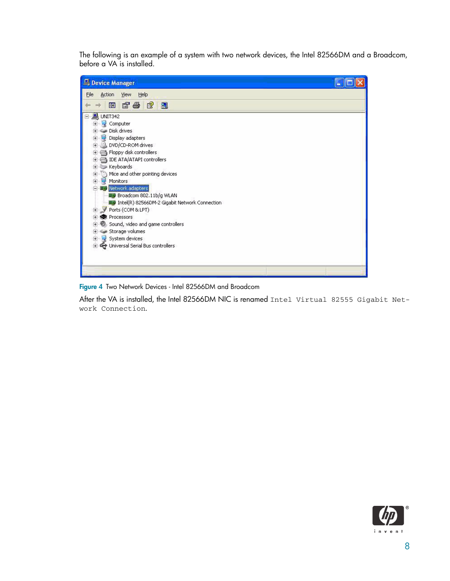The following is an example of a system with two network devices, the Intel 82566DM and a Broadcom, before a VA is installed.



Figure 4 Two Network Devices - Intel 82566DM and Broadcom

After the VA is installed, the Intel 82566DM NIC is renamed Intel Virtual 82555 Gigabit Network Connection.

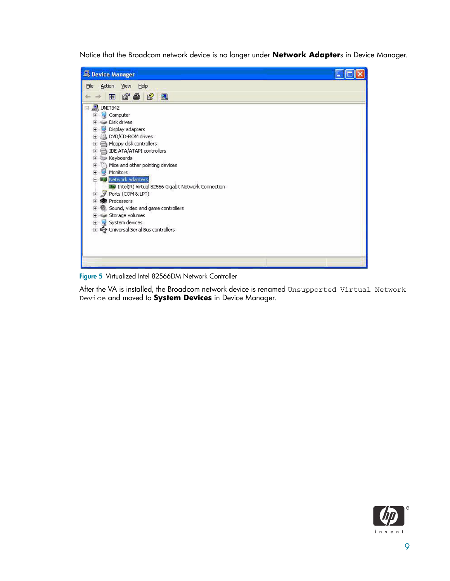Notice that the Broadcom network device is no longer under **Network Adapter**s in Device Manager.



Figure 5 Virtualized Intel 82566DM Network Controller

After the VA is installed, the Broadcom network device is renamed Unsupported Virtual Network Device and moved to **System Devices** in Device Manager.

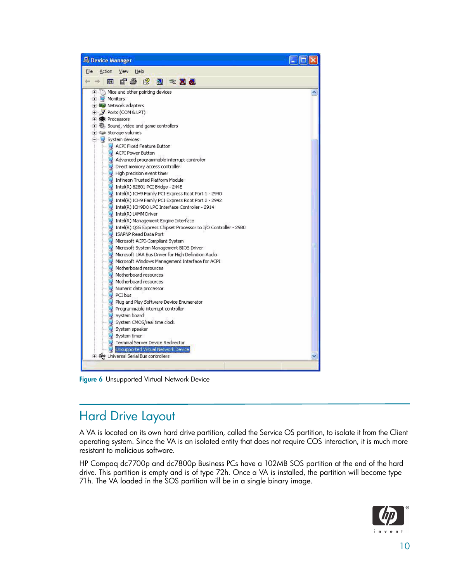

Figure 6 Unsupported Virtual Network Device

## Hard Drive Layout

A VA is located on its own hard drive partition, called the Service OS partition, to isolate it from the Client operating system. Since the VA is an isolated entity that does not require COS interaction, it is much more resistant to malicious software.

HP Compaq dc7700p and dc7800p Business PCs have a 102MB SOS partition at the end of the hard drive. This partition is empty and is of type 72h. Once a VA is installed, the partition will become type 71h. The VA loaded in the SOS partition will be in a single binary image.

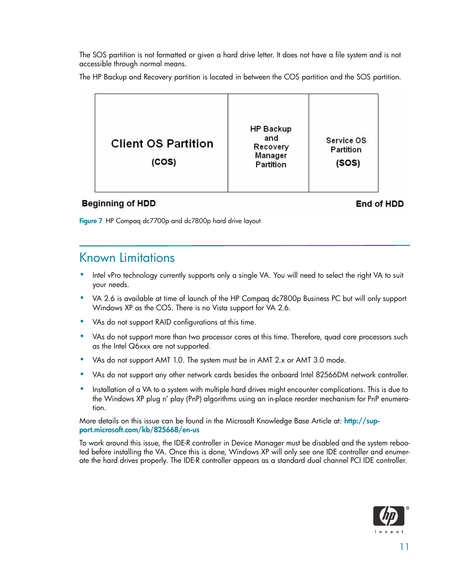The SOS partition is not formatted or given a hard drive letter. It does not have a file system and is not accessible through normal means.

The HP Backup and Recovery partition is located in between the COS partition and the SOS partition.



#### **Beginning of HDD**

End of HDD

Figure 7 HP Compaq dc7700p and dc7800p hard drive layout

#### Known Limitations

- Intel vPro technology currently supports only a single VA. You will need to select the right VA to suit your needs.
- VA 2.6 is available at time of launch of the HP Compaq dc7800p Business PC but will only support Windows XP as the COS. There is no Vista support for VA 2.6.
- VAs do not support RAID configurations at this time.
- VAs do not support more than two processor cores at this time. Therefore, quad core processors such as the Intel Q6xxx are not supported.
- VAs do not support AMT 1.0. The system must be in AMT 2.x or AMT 3.0 mode.
- VAs do not support any other network cards besides the onboard Intel 82566DM network controller.
- Installation of a VA to a system with multiple hard drives might encounter complications. This is due to the Windows XP plug n' play (PnP) algorithms using an in-place reorder mechanism for PnP enumeration.

More details on this issue can be found in the Microsoft Knowledge Base Article at: http://support.microsoft.com/kb/825668/en-us

To work around this issue, the IDE-R controller in Device Manager must be disabled and the system rebooted before installing the VA. Once this is done, Windows XP will only see one IDE controller and enumerate the hard drives properly. The IDE-R controller appears as a standard dual channel PCI IDE controller.

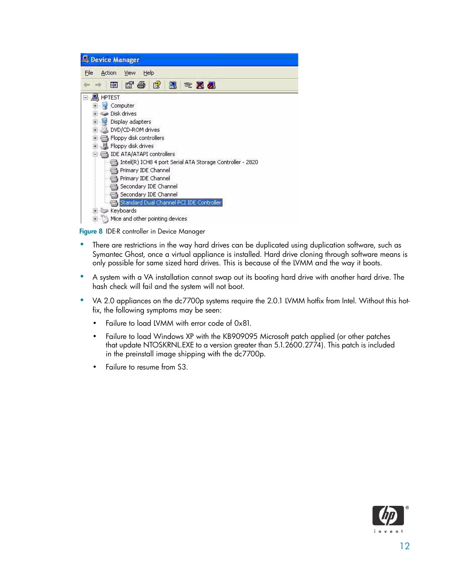| Device Manager                                                                                                                                                                                                                                                                                                                                                                                                                                                                              |  |  |  |  |
|---------------------------------------------------------------------------------------------------------------------------------------------------------------------------------------------------------------------------------------------------------------------------------------------------------------------------------------------------------------------------------------------------------------------------------------------------------------------------------------------|--|--|--|--|
| Help<br>File<br>Action<br>View                                                                                                                                                                                                                                                                                                                                                                                                                                                              |  |  |  |  |
| 窤<br>@"争<br>図<br><b>* X &amp;</b><br>80                                                                                                                                                                                                                                                                                                                                                                                                                                                     |  |  |  |  |
| HPTEST<br>Computer<br>Disk drives<br>Display adapters<br>$+$ $-$<br>DVD/CD-ROM drives<br>$\ddot{}$<br>Floppy disk controllers<br>$\overline{+}$<br>Floppy disk drives<br>$+$<br>IDE ATA/ATAPI controllers<br>Intel(R) ICH8 4 port Serial ATA Storage Controller - 2820<br>Primary IDE Channel<br>Primary IDE Channel<br>Secondary IDE Channel<br>Secondary IDE Channel<br>Standard Dual Channel PCI IDE Controller<br>Keyboards<br>$\overline{+}$<br>Mice and other pointing devices<br>$+$ |  |  |  |  |

Figure 8 IDE-R controller in Device Manager

- There are restrictions in the way hard drives can be duplicated using duplication software, such as Symantec Ghost, once a virtual appliance is installed. Hard drive cloning through software means is only possible for same sized hard drives. This is because of the LVMM and the way it boots.
- A system with a VA installation cannot swap out its booting hard drive with another hard drive. The hash check will fail and the system will not boot.
- VA 2.0 appliances on the dc7700p systems require the 2.0.1 LVMM hotfix from Intel. Without this hotfix, the following symptoms may be seen:
	- Failure to load LVMM with error code of 0x81.
	- Failure to load Windows XP with the KB909095 Microsoft patch applied (or other patches that update NTOSKRNL.EXE to a version greater than 5.1.2600.2774). This patch is included in the preinstall image shipping with the dc7700p.
	- Failure to resume from S3.

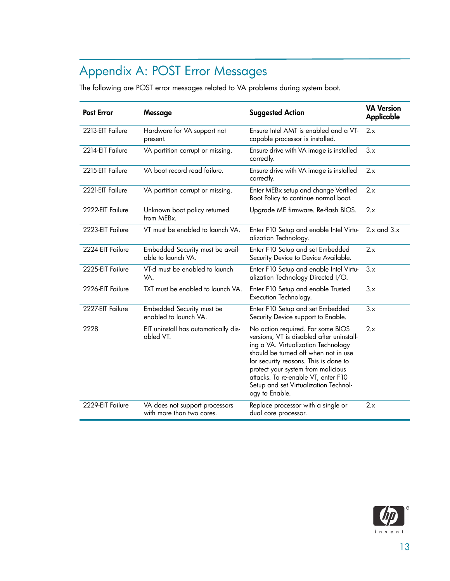## Appendix A: POST Error Messages

The following are POST error messages related to VA problems during system boot.

| <b>Post Error</b> | <b>Message</b>                                              | <b>Suggested Action</b>                                                                                                                                                                                                                                                                                                                        | <b>VA Version</b><br>Applicable |
|-------------------|-------------------------------------------------------------|------------------------------------------------------------------------------------------------------------------------------------------------------------------------------------------------------------------------------------------------------------------------------------------------------------------------------------------------|---------------------------------|
| 2213-EIT Failure  | Hardware for VA support not<br>present.                     | Ensure Intel AMT is enabled and a VT-<br>capable processor is installed.                                                                                                                                                                                                                                                                       | 2.x                             |
| 2214-EIT Failure  | VA partition corrupt or missing.                            | Ensure drive with VA image is installed<br>correctly.                                                                                                                                                                                                                                                                                          | 3.x                             |
| 2215-EIT Failure  | VA boot record read failure.                                | Ensure drive with VA image is installed<br>correctly.                                                                                                                                                                                                                                                                                          | 2.x                             |
| 2221-EIT Failure  | VA partition corrupt or missing.                            | Enter MEBx setup and change Verified<br>Boot Policy to continue normal boot.                                                                                                                                                                                                                                                                   | 2.x                             |
| 2222-EIT Failure  | Unknown boot policy returned<br>from MEBx.                  | Upgrade ME firmware. Re-flash BIOS.                                                                                                                                                                                                                                                                                                            | 2.x                             |
| 2223-EIT Failure  | VT must be enabled to launch VA.                            | Enter F10 Setup and enable Intel Virtu-<br>alization Technology.                                                                                                                                                                                                                                                                               | $2.x$ and $3.x$                 |
| 2224-EIT Failure  | Embedded Security must be avail-<br>able to launch VA.      | Enter F10 Setup and set Embedded<br>Security Device to Device Available.                                                                                                                                                                                                                                                                       | 2.x                             |
| 2225-EIT Failure  | VT-d must be enabled to launch<br>VA.                       | Enter F10 Setup and enable Intel Virtu-<br>alization Technology Directed I/O.                                                                                                                                                                                                                                                                  | 3.x                             |
| 2226-EIT Failure  | TXT must be enabled to launch VA.                           | Enter F10 Setup and enable Trusted<br>Execution Technology.                                                                                                                                                                                                                                                                                    | 3.x                             |
| 2227-EIT Failure  | Embedded Security must be<br>enabled to launch VA.          | Enter F10 Setup and set Embedded<br>Security Device support to Enable.                                                                                                                                                                                                                                                                         | 3.x                             |
| 2228              | EIT uninstall has automatically dis-<br>abled VT.           | No action required. For some BIOS<br>versions, VT is disabled after uninstall-<br>ing a VA. Virtualization Technology<br>should be turned off when not in use<br>for security reasons. This is done to<br>protect your system from malicious<br>attacks. To re-enable VT, enter F10<br>Setup and set Virtualization Technol-<br>ogy to Enable. | 2.x                             |
| 2229-EIT Failure  | VA does not support processors<br>with more than two cores. | Replace processor with a single or<br>dual core processor.                                                                                                                                                                                                                                                                                     | 2.x                             |